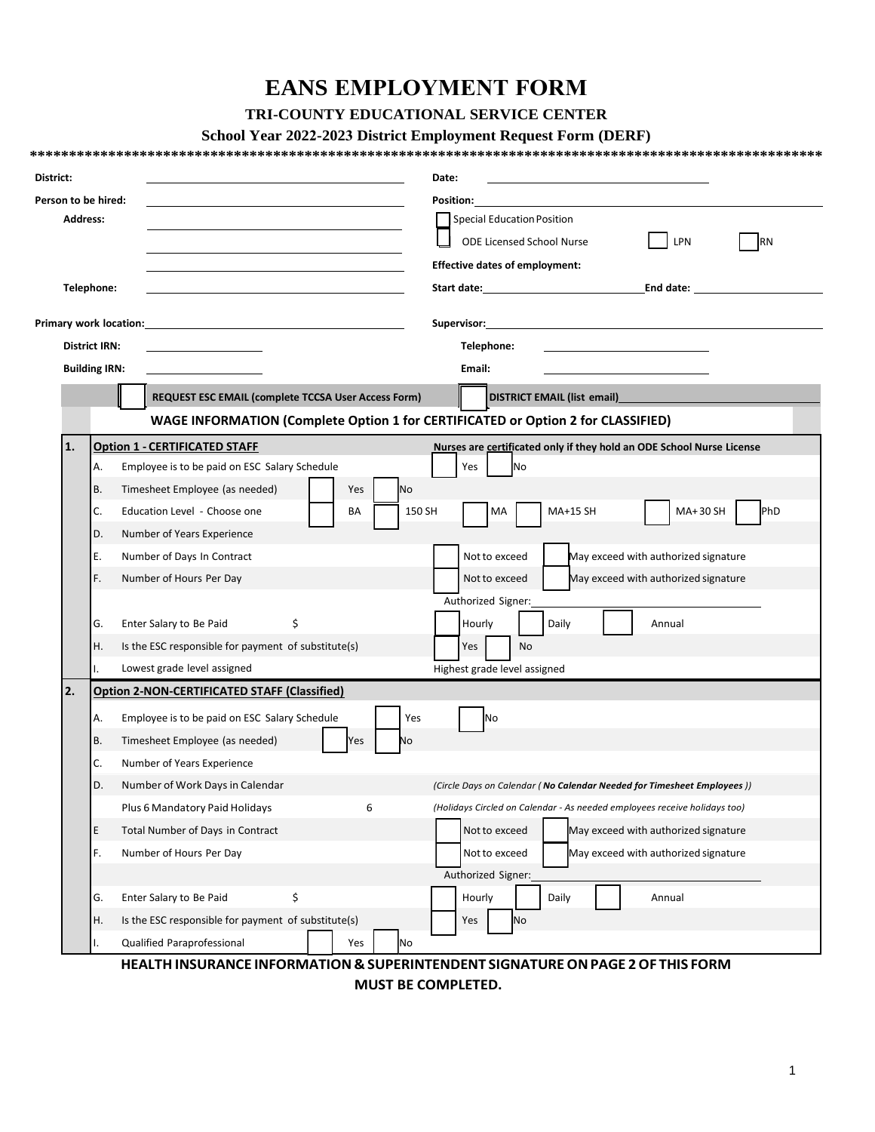# **EANS EMPLOYMENT FORM**

## **TRI-COUNTY EDUCATIONAL SERVICE CENTER**

## **School Year 2022-2023 District Employment Request Form (DERF)**

| District:       |                                                                                  |                                                     | Date:                                                                                                                                                                                                                                                                                                                                            |  |  |  |  |
|-----------------|----------------------------------------------------------------------------------|-----------------------------------------------------|--------------------------------------------------------------------------------------------------------------------------------------------------------------------------------------------------------------------------------------------------------------------------------------------------------------------------------------------------|--|--|--|--|
|                 | Person to be hired:                                                              |                                                     | Position:                                                                                                                                                                                                                                                                                                                                        |  |  |  |  |
| <b>Address:</b> |                                                                                  |                                                     | <b>Special Education Position</b><br><b>ODE Licensed School Nurse</b><br>LPN<br>RN                                                                                                                                                                                                                                                               |  |  |  |  |
|                 |                                                                                  |                                                     |                                                                                                                                                                                                                                                                                                                                                  |  |  |  |  |
|                 | Telephone:                                                                       |                                                     | End date: and the state of the state of the state of the state of the state of the state of the state of the s<br>Start date: the contract of the contract of the contract of the contract of the contract of the contract of the contract of the contract of the contract of the contract of the contract of the contract of the contract of th |  |  |  |  |
|                 |                                                                                  |                                                     |                                                                                                                                                                                                                                                                                                                                                  |  |  |  |  |
|                 | <b>District IRN:</b>                                                             |                                                     | Telephone:<br>Email:                                                                                                                                                                                                                                                                                                                             |  |  |  |  |
|                 | <b>Building IRN:</b>                                                             |                                                     |                                                                                                                                                                                                                                                                                                                                                  |  |  |  |  |
|                 |                                                                                  | REQUEST ESC EMAIL (complete TCCSA User Access Form) | DISTRICT EMAIL (list email)                                                                                                                                                                                                                                                                                                                      |  |  |  |  |
|                 |                                                                                  |                                                     |                                                                                                                                                                                                                                                                                                                                                  |  |  |  |  |
|                 | WAGE INFORMATION (Complete Option 1 for CERTIFICATED or Option 2 for CLASSIFIED) |                                                     |                                                                                                                                                                                                                                                                                                                                                  |  |  |  |  |
| 1.              |                                                                                  | <b>Option 1 - CERTIFICATED STAFF</b>                | Nurses are certificated only if they hold an ODE School Nurse License                                                                                                                                                                                                                                                                            |  |  |  |  |
|                 | А.                                                                               | Employee is to be paid on ESC Salary Schedule       | Yes<br>No                                                                                                                                                                                                                                                                                                                                        |  |  |  |  |
|                 | В.                                                                               | Timesheet Employee (as needed)<br><b>No</b><br>Yes  |                                                                                                                                                                                                                                                                                                                                                  |  |  |  |  |
|                 | C.                                                                               | Education Level - Choose one<br>BA                  | MA+30 SH<br>PhD<br>150 SH<br>MA+15 SH<br>МA                                                                                                                                                                                                                                                                                                      |  |  |  |  |
|                 | D.                                                                               | Number of Years Experience                          |                                                                                                                                                                                                                                                                                                                                                  |  |  |  |  |
|                 | Ε.                                                                               | Number of Days In Contract                          | Not to exceed<br>May exceed with authorized signature                                                                                                                                                                                                                                                                                            |  |  |  |  |
|                 | F.                                                                               | Number of Hours Per Day                             | Not to exceed<br>May exceed with authorized signature                                                                                                                                                                                                                                                                                            |  |  |  |  |
|                 |                                                                                  |                                                     | Authorized Signer:                                                                                                                                                                                                                                                                                                                               |  |  |  |  |
|                 | G.                                                                               | Enter Salary to Be Paid<br>\$                       | Hourly<br>Daily<br>Annual                                                                                                                                                                                                                                                                                                                        |  |  |  |  |
|                 | Η.                                                                               | Is the ESC responsible for payment of substitute(s) | Yes<br>No                                                                                                                                                                                                                                                                                                                                        |  |  |  |  |
|                 | Ι.                                                                               | Lowest grade level assigned                         | Highest grade level assigned                                                                                                                                                                                                                                                                                                                     |  |  |  |  |
| 2.              | <b>Option 2-NON-CERTIFICATED STAFF (Classified)</b>                              |                                                     |                                                                                                                                                                                                                                                                                                                                                  |  |  |  |  |
|                 | А.                                                                               | Employee is to be paid on ESC Salary Schedule       | Yes<br><b>No</b>                                                                                                                                                                                                                                                                                                                                 |  |  |  |  |
|                 | В.                                                                               | Timesheet Employee (as needed)<br>Yes<br>No         |                                                                                                                                                                                                                                                                                                                                                  |  |  |  |  |
|                 | C.                                                                               | Number of Years Experience                          |                                                                                                                                                                                                                                                                                                                                                  |  |  |  |  |
|                 | D.                                                                               | Number of Work Days in Calendar                     | (Circle Days on Calendar (No Calendar Needed for Timesheet Employees))                                                                                                                                                                                                                                                                           |  |  |  |  |
|                 |                                                                                  | Plus 6 Mandatory Paid Holidays<br>6                 | (Holidays Circled on Calendar - As needed employees receive holidays too)                                                                                                                                                                                                                                                                        |  |  |  |  |
|                 | Ε                                                                                | Total Number of Days in Contract                    | Not to exceed<br>May exceed with authorized signature                                                                                                                                                                                                                                                                                            |  |  |  |  |
|                 | F.                                                                               | Number of Hours Per Day                             | May exceed with authorized signature<br>Not to exceed                                                                                                                                                                                                                                                                                            |  |  |  |  |
|                 |                                                                                  |                                                     | Authorized Signer:                                                                                                                                                                                                                                                                                                                               |  |  |  |  |
|                 | G.                                                                               | Enter Salary to Be Paid<br>\$                       | Hourly<br>Daily<br>Annual                                                                                                                                                                                                                                                                                                                        |  |  |  |  |
|                 |                                                                                  | Is the ESC responsible for payment of substitute(s) | No<br>Yes                                                                                                                                                                                                                                                                                                                                        |  |  |  |  |
|                 | Η.                                                                               |                                                     |                                                                                                                                                                                                                                                                                                                                                  |  |  |  |  |

**MUST BE COMPLETED.**